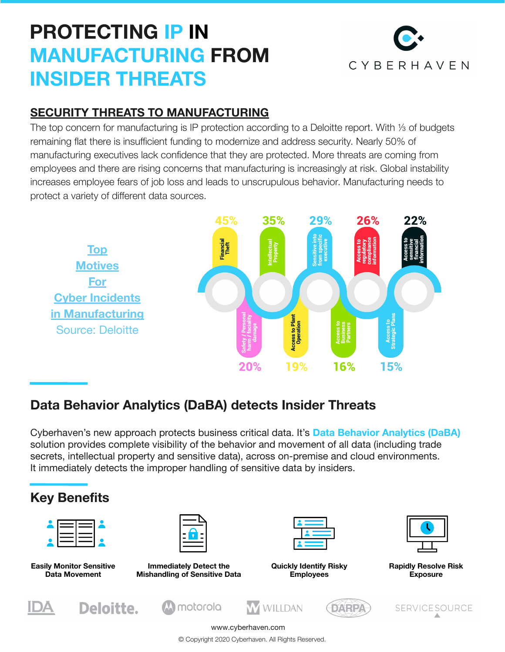## **PROTECTING IP IN MANUFACTURING FROM INSIDER THREATS**



### **[SECURITY THREATS TO MANUFACTURING](https://www2.deloitte.com/content/dam/Deloitte/us/Documents/manufacturing/us-manufacturing-cyber-risk-in-advanced-manufacturing-executive-summary.pdf)**

The top concern for manufacturing is IP protection according to a Deloitte report. With ⅓ of budgets remaining flat there is insufficient funding to modernize and address security. Nearly 50% of manufacturing executives lack confidence that they are protected. More threats are coming from employees and there are rising concerns that manufacturing is increasingly at risk. Global instability increases employee fears of job loss and leads to unscrupulous behavior. Manufacturing needs to protect a variety of different data sources.



### **Data Behavior Analytics (DaBA) detects Insider Threats**

Cyberhaven's new approach protects business critical data. It's **Data Behavior Analytics (DaBA)** solution provides complete visibility of the behavior and movement of all data (including trade secrets, intellectual property and sensitive data), across on-premise and cloud environments. It immediately detects the improper handling of sensitive data by insiders.



www.cyberhaven.com

© Copyright 2020 Cyberhaven. All Rights Reserved.